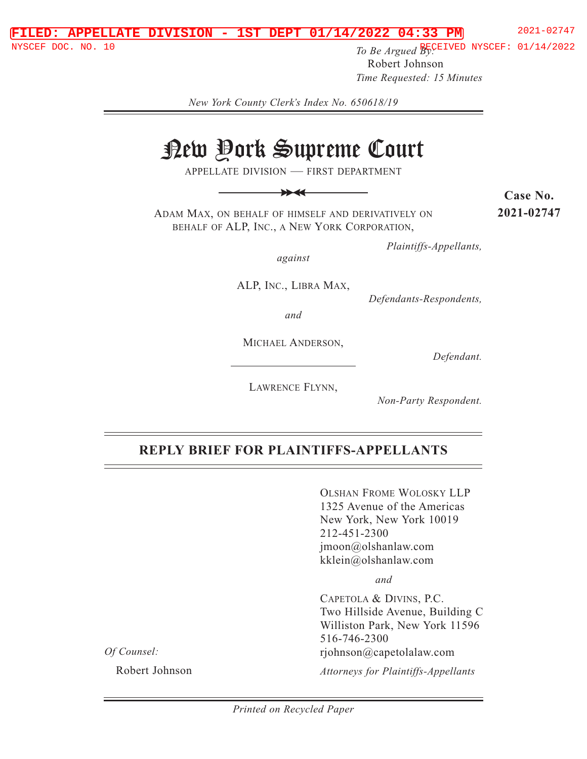#### **FILED: APPELLATE DIVISION - 1ST DEPT 01/14/2022 04:33 PM** 2021-02747

**To Be Argued By:** The STRITE DUCH NYSCEF: 01/14/2022 To Be Argued By: Robert Johnson *Time Requested: 15 Minutes*

*New York County Clerk's Index No. 650618/19* 

# New York Supreme Court

APPELLATE DIVISION — FIRST DEPARTMENT

>> >>

ADAM MAX, ON BEHALF OF HIMSELF AND DERIVATIVELY ON BEHALF OF ALP, INC., A NEW YORK CORPORATION,

**Case No. 2021-02747**

*Plaintiffs-Appellants,* 

*against* 

ALP, INC., LIBRA MAX,

*Defendants-Respondents,* 

*and* 

MICHAEL ANDERSON,

*Defendant.* 

LAWRENCE FLYNN,

*Non-Party Respondent.* 

#### **REPLY BRIEF FOR PLAINTIFFS-APPELLANTS**

OLSHAN FROME WOLOSKY LLP 1325 Avenue of the Americas New York, New York 10019 212-451-2300 jmoon@olshanlaw.com kklein@olshanlaw.com

 *and*

CAPETOLA & DIVINS, P.C. Two Hillside Avenue, Building C Williston Park, New York 11596 516-746-2300 rjohnson@capetolalaw.com

*Of Counsel:* 

Robert Johnson

*Attorneys for Plaintiffs-Appellants*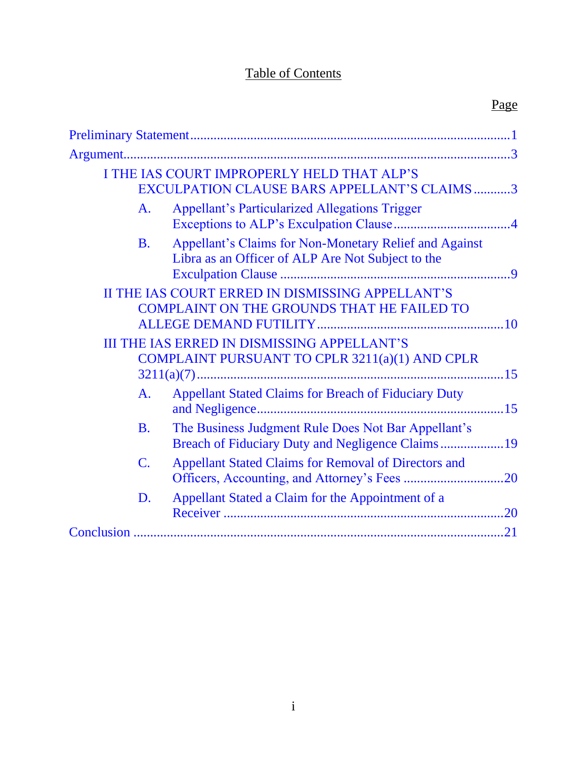# Table of Contents

| I THE IAS COURT IMPROPERLY HELD THAT ALP'S<br>EXCULPATION CLAUSE BARS APPELLANT'S CLAIMS3                                |  |
|--------------------------------------------------------------------------------------------------------------------------|--|
| <b>Appellant's Particularized Allegations Trigger</b><br>A <sub>1</sub>                                                  |  |
| Appellant's Claims for Non-Monetary Relief and Against<br><b>B.</b><br>Libra as an Officer of ALP Are Not Subject to the |  |
| II THE IAS COURT ERRED IN DISMISSING APPELLANT'S<br><b>COMPLAINT ON THE GROUNDS THAT HE FAILED TO</b>                    |  |
| <b>III THE IAS ERRED IN DISMISSING APPELLANT'S</b><br>COMPLAINT PURSUANT TO CPLR 3211(a)(1) AND CPLR                     |  |
| <b>Appellant Stated Claims for Breach of Fiduciary Duty</b><br>A.                                                        |  |
| The Business Judgment Rule Does Not Bar Appellant's<br><b>B.</b><br>Breach of Fiduciary Duty and Negligence Claims19     |  |
| $\mathbf{C}$ .<br><b>Appellant Stated Claims for Removal of Directors and</b>                                            |  |
| Appellant Stated a Claim for the Appointment of a<br>D.                                                                  |  |
|                                                                                                                          |  |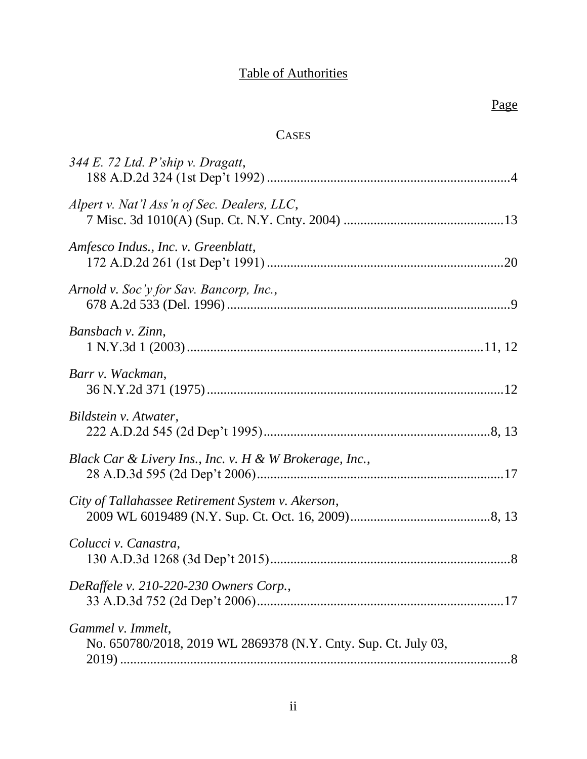# Table of Authorities

# **CASES**

| $344 E.$ 72 Ltd. P'ship v. Dragatt,                                                 |  |
|-------------------------------------------------------------------------------------|--|
| Alpert v. Nat'l Ass'n of Sec. Dealers, LLC,                                         |  |
| Amfesco Indus., Inc. v. Greenblatt,                                                 |  |
| Arnold v. Soc'y for Sav. Bancorp, Inc.,                                             |  |
| Bansbach v. Zinn,                                                                   |  |
| Barr v. Wackman,                                                                    |  |
| Bildstein v. Atwater,                                                               |  |
| Black Car & Livery Ins., Inc. v. H & W Brokerage, Inc.,                             |  |
| City of Tallahassee Retirement System v. Akerson,                                   |  |
| Colucci v. Canastra,                                                                |  |
| DeRaffele v. 210-220-230 Owners Corp.,                                              |  |
| Gammel v. Immelt,<br>No. 650780/2018, 2019 WL 2869378 (N.Y. Cnty. Sup. Ct. July 03, |  |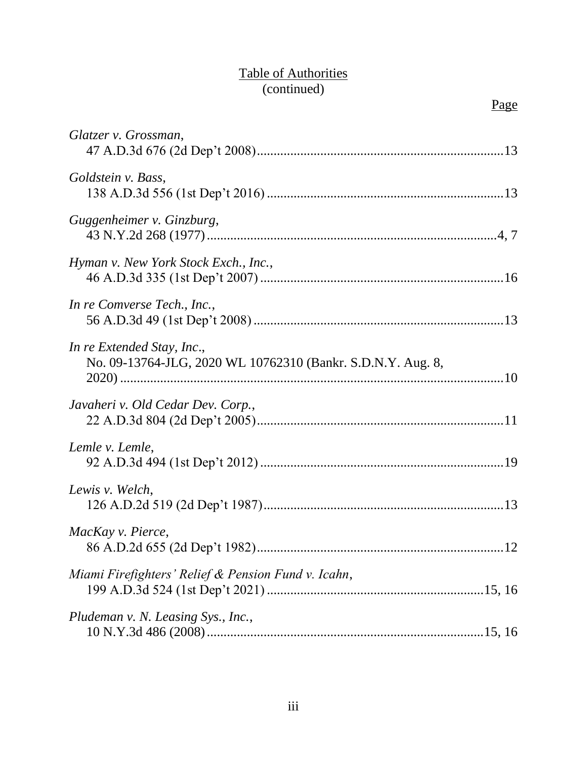# Table of Authorities (continued)

| Glatzer v. Grossman,                                                                      |
|-------------------------------------------------------------------------------------------|
| Goldstein v. Bass,                                                                        |
| Guggenheimer v. Ginzburg,                                                                 |
| Hyman v. New York Stock Exch., Inc.,                                                      |
| In re Comverse Tech., Inc.,                                                               |
| In re Extended Stay, Inc.,<br>No. 09-13764-JLG, 2020 WL 10762310 (Bankr. S.D.N.Y. Aug. 8, |
| Javaheri v. Old Cedar Dev. Corp.,                                                         |
| Lemle v. Lemle,                                                                           |
| Lewis v. Welch,                                                                           |
| MacKay v. Pierce,                                                                         |
| Miami Firefighters' Relief & Pension Fund v. Icahn,                                       |
| Pludeman v. N. Leasing Sys., Inc.,                                                        |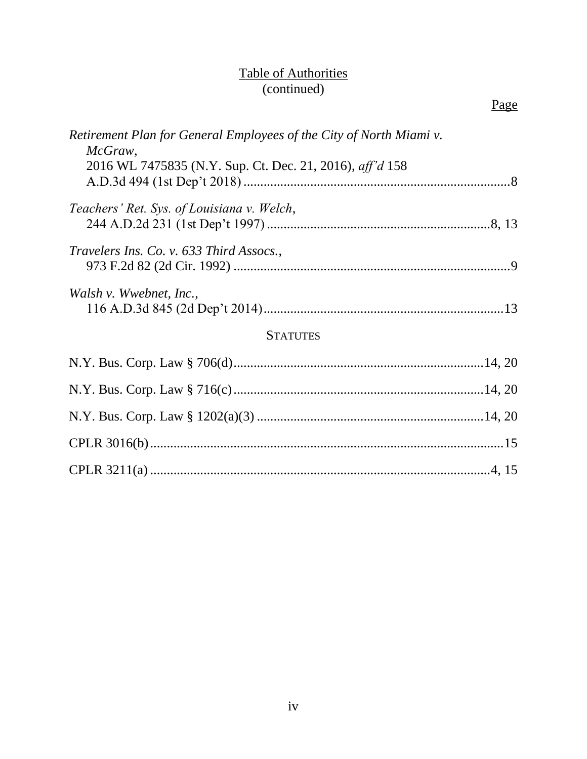#### Table of Authorities (continued)

| Retirement Plan for General Employees of the City of North Miami v.<br>McGraw, |  |
|--------------------------------------------------------------------------------|--|
| 2016 WL 7475835 (N.Y. Sup. Ct. Dec. 21, 2016), aff'd 158                       |  |
| Teachers' Ret. Sys. of Louisiana v. Welch,                                     |  |
|                                                                                |  |
| Travelers Ins. Co. v. 633 Third Assocs.,                                       |  |
|                                                                                |  |
| Walsh v. Wwebnet, Inc.,                                                        |  |

# **STATUTES**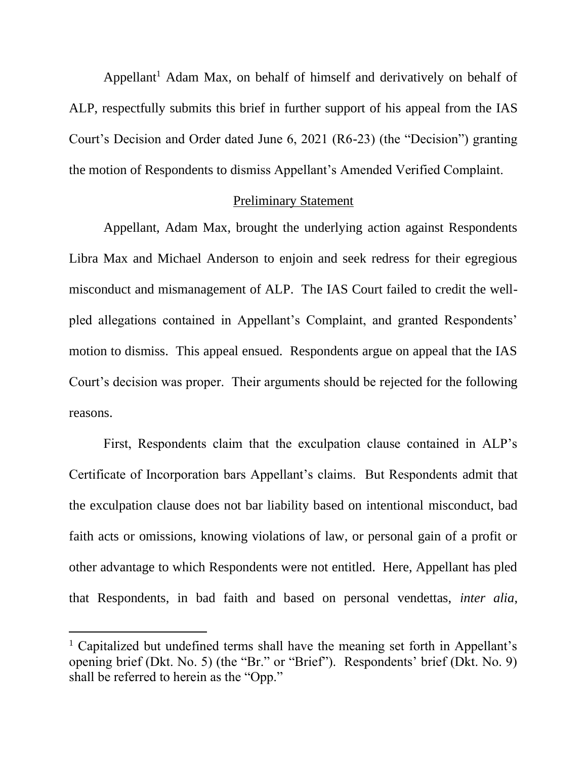<span id="page-5-0"></span>Appellant<sup>1</sup> Adam Max, on behalf of himself and derivatively on behalf of ALP, respectfully submits this brief in further support of his appeal from the IAS Court's Decision and Order dated June 6, 2021 (R6-23) (the "Decision") granting the motion of Respondents to dismiss Appellant's Amended Verified Complaint.

#### Preliminary Statement

Appellant, Adam Max, brought the underlying action against Respondents Libra Max and Michael Anderson to enjoin and seek redress for their egregious misconduct and mismanagement of ALP. The IAS Court failed to credit the wellpled allegations contained in Appellant's Complaint, and granted Respondents' motion to dismiss. This appeal ensued. Respondents argue on appeal that the IAS Court's decision was proper. Their arguments should be rejected for the following reasons.

First, Respondents claim that the exculpation clause contained in ALP's Certificate of Incorporation bars Appellant's claims. But Respondents admit that the exculpation clause does not bar liability based on intentional misconduct, bad faith acts or omissions, knowing violations of law, or personal gain of a profit or other advantage to which Respondents were not entitled. Here, Appellant has pled that Respondents, in bad faith and based on personal vendettas, *inter alia*,

<sup>&</sup>lt;sup>1</sup> Capitalized but undefined terms shall have the meaning set forth in Appellant's opening brief (Dkt. No. 5) (the "Br." or "Brief"). Respondents' brief (Dkt. No. 9) shall be referred to herein as the "Opp."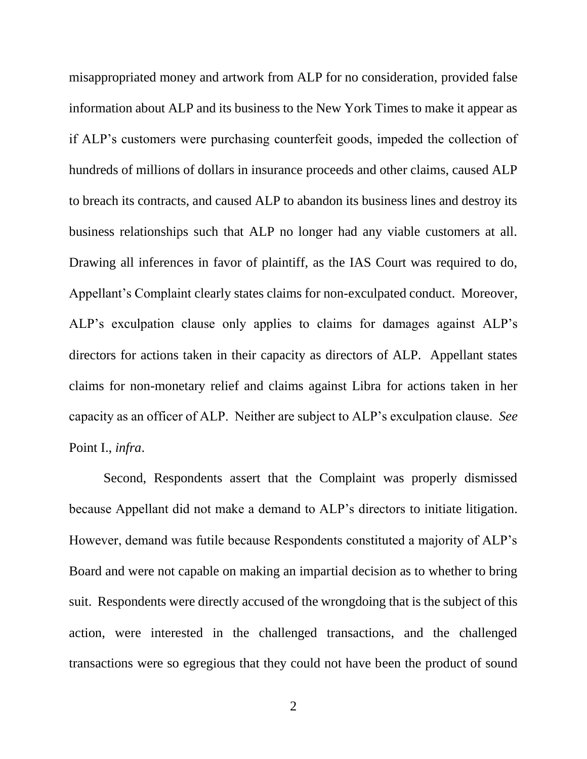misappropriated money and artwork from ALP for no consideration, provided false information about ALP and its business to the New York Times to make it appear as if ALP's customers were purchasing counterfeit goods, impeded the collection of hundreds of millions of dollars in insurance proceeds and other claims, caused ALP to breach its contracts, and caused ALP to abandon its business lines and destroy its business relationships such that ALP no longer had any viable customers at all. Drawing all inferences in favor of plaintiff, as the IAS Court was required to do, Appellant's Complaint clearly states claims for non-exculpated conduct. Moreover, ALP's exculpation clause only applies to claims for damages against ALP's directors for actions taken in their capacity as directors of ALP. Appellant states claims for non-monetary relief and claims against Libra for actions taken in her capacity as an officer of ALP. Neither are subject to ALP's exculpation clause. *See*  Point I., *infra*.

Second, Respondents assert that the Complaint was properly dismissed because Appellant did not make a demand to ALP's directors to initiate litigation. However, demand was futile because Respondents constituted a majority of ALP's Board and were not capable on making an impartial decision as to whether to bring suit. Respondents were directly accused of the wrongdoing that is the subject of this action, were interested in the challenged transactions, and the challenged transactions were so egregious that they could not have been the product of sound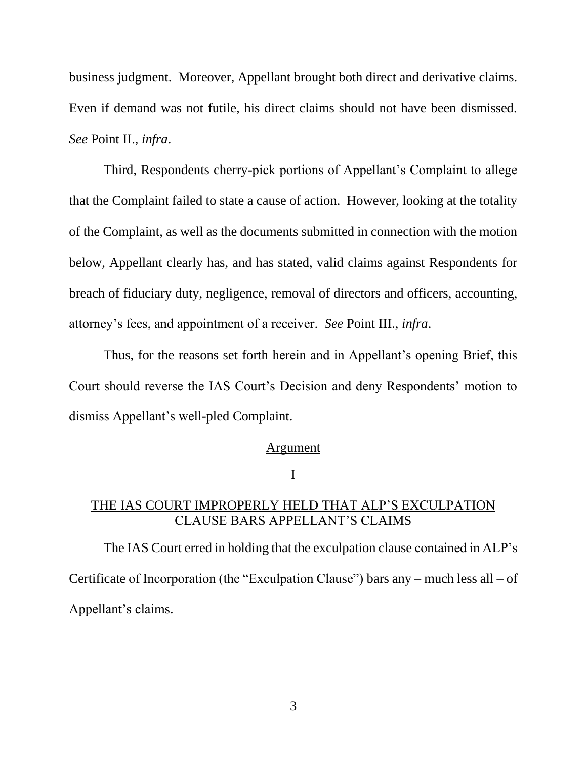<span id="page-7-0"></span>business judgment. Moreover, Appellant brought both direct and derivative claims. Even if demand was not futile, his direct claims should not have been dismissed. *See* Point II., *infra*.

Third, Respondents cherry-pick portions of Appellant's Complaint to allege that the Complaint failed to state a cause of action. However, looking at the totality of the Complaint, as well as the documents submitted in connection with the motion below, Appellant clearly has, and has stated, valid claims against Respondents for breach of fiduciary duty, negligence, removal of directors and officers, accounting, attorney's fees, and appointment of a receiver. *See* Point III., *infra*.

Thus, for the reasons set forth herein and in Appellant's opening Brief, this Court should reverse the IAS Court's Decision and deny Respondents' motion to dismiss Appellant's well-pled Complaint.

#### Argument

I

## THE IAS COURT IMPROPERLY HELD THAT ALP'S EXCULPATION CLAUSE BARS APPELLANT'S CLAIMS

The IAS Court erred in holding that the exculpation clause contained in ALP's Certificate of Incorporation (the "Exculpation Clause") bars any – much less all – of Appellant's claims.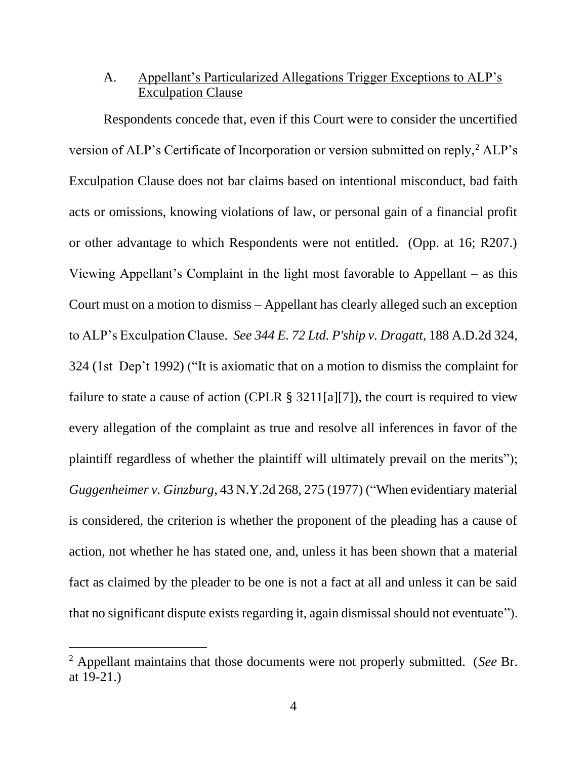## <span id="page-8-0"></span>A. Appellant's Particularized Allegations Trigger Exceptions to ALP's Exculpation Clause

<span id="page-8-1"></span>Respondents concede that, even if this Court were to consider the uncertified version of ALP's Certificate of Incorporation or version submitted on reply,<sup>2</sup> ALP's Exculpation Clause does not bar claims based on intentional misconduct, bad faith acts or omissions, knowing violations of law, or personal gain of a financial profit or other advantage to which Respondents were not entitled. (Opp. at 16; R207.) Viewing Appellant's Complaint in the light most favorable to Appellant – as this Court must on a motion to dismiss – Appellant has clearly alleged such an exception to ALP's Exculpation Clause. *See 344 E. 72 Ltd. P'ship v. Dragatt*, 188 A.D.2d 324, 324 (1st Dep't 1992) ("It is axiomatic that on a motion to dismiss the complaint for failure to state a cause of action (CPLR  $\S 3211[a][7]$ ), the court is required to view every allegation of the complaint as true and resolve all inferences in favor of the plaintiff regardless of whether the plaintiff will ultimately prevail on the merits"); *Guggenheimer v. Ginzburg*, 43 N.Y.2d 268, 275 (1977) ("When evidentiary material is considered, the criterion is whether the proponent of the pleading has a cause of action, not whether he has stated one, and, unless it has been shown that a material fact as claimed by the pleader to be one is not a fact at all and unless it can be said that no significant dispute exists regarding it, again dismissal should not eventuate").

<span id="page-8-2"></span><sup>2</sup> Appellant maintains that those documents were not properly submitted. (*See* Br. at 19-21.)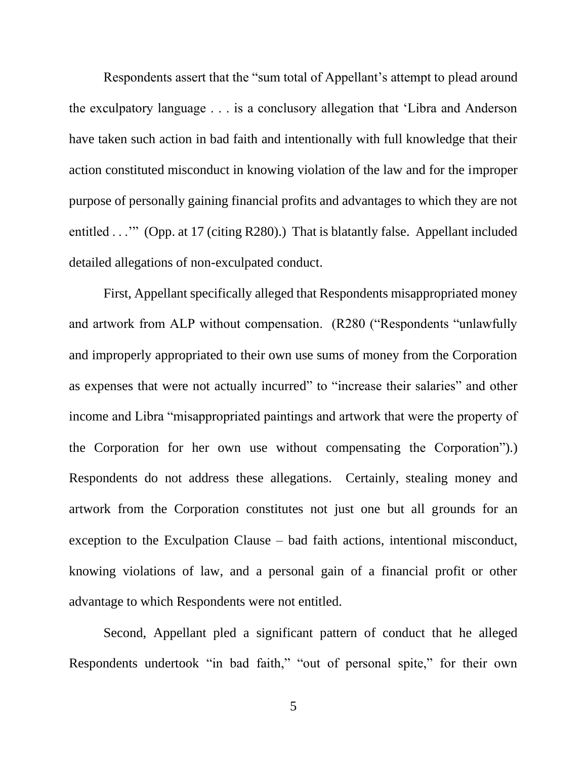Respondents assert that the "sum total of Appellant's attempt to plead around the exculpatory language . . . is a conclusory allegation that 'Libra and Anderson have taken such action in bad faith and intentionally with full knowledge that their action constituted misconduct in knowing violation of the law and for the improper purpose of personally gaining financial profits and advantages to which they are not entitled . . .'" (Opp. at 17 (citing R280).) That is blatantly false. Appellant included detailed allegations of non-exculpated conduct.

First, Appellant specifically alleged that Respondents misappropriated money and artwork from ALP without compensation. (R280 ("Respondents "unlawfully and improperly appropriated to their own use sums of money from the Corporation as expenses that were not actually incurred" to "increase their salaries" and other income and Libra "misappropriated paintings and artwork that were the property of the Corporation for her own use without compensating the Corporation").) Respondents do not address these allegations. Certainly, stealing money and artwork from the Corporation constitutes not just one but all grounds for an exception to the Exculpation Clause – bad faith actions, intentional misconduct, knowing violations of law, and a personal gain of a financial profit or other advantage to which Respondents were not entitled.

Second, Appellant pled a significant pattern of conduct that he alleged Respondents undertook "in bad faith," "out of personal spite," for their own

5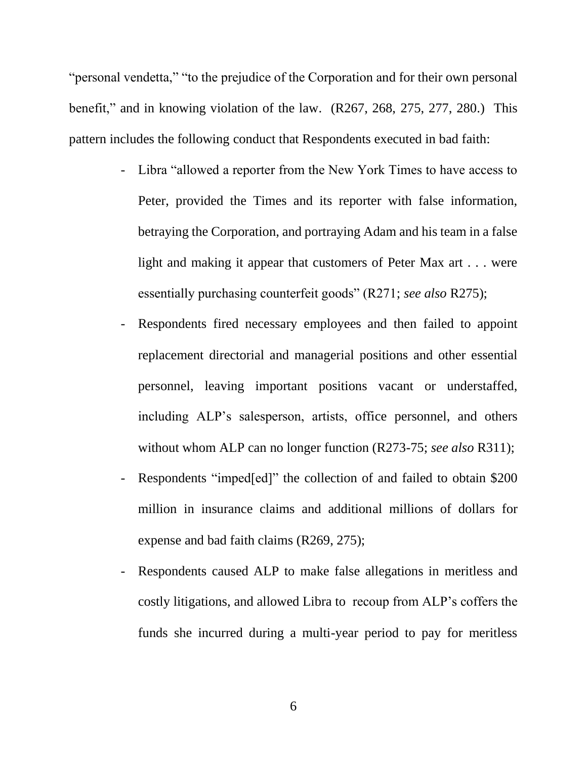"personal vendetta," "to the prejudice of the Corporation and for their own personal benefit," and in knowing violation of the law. (R267, 268, 275, 277, 280.) This pattern includes the following conduct that Respondents executed in bad faith:

- Libra "allowed a reporter from the New York Times to have access to Peter, provided the Times and its reporter with false information, betraying the Corporation, and portraying Adam and his team in a false light and making it appear that customers of Peter Max art . . . were essentially purchasing counterfeit goods" (R271; *see also* R275);
- Respondents fired necessary employees and then failed to appoint replacement directorial and managerial positions and other essential personnel, leaving important positions vacant or understaffed, including ALP's salesperson, artists, office personnel, and others without whom ALP can no longer function (R273-75; *see also* R311);
- Respondents "imped[ed]" the collection of and failed to obtain \$200 million in insurance claims and additional millions of dollars for expense and bad faith claims (R269, 275);
- Respondents caused ALP to make false allegations in meritless and costly litigations, and allowed Libra to recoup from ALP's coffers the funds she incurred during a multi-year period to pay for meritless

6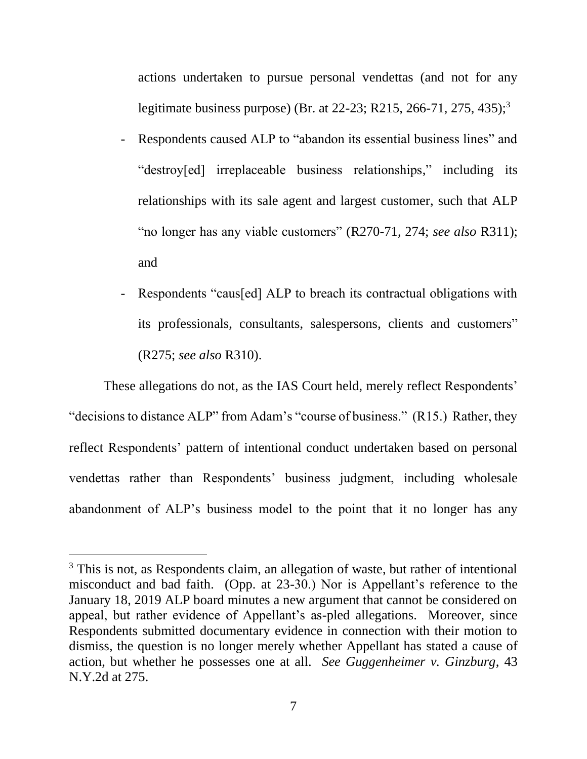actions undertaken to pursue personal vendettas (and not for any legitimate business purpose) (Br. at 22-23; R215, 266-71, 275, 435);<sup>3</sup>

- Respondents caused ALP to "abandon its essential business lines" and "destroy[ed] irreplaceable business relationships," including its relationships with its sale agent and largest customer, such that ALP "no longer has any viable customers" (R270-71, 274; *see also* R311); and
- Respondents "caus[ed] ALP to breach its contractual obligations with its professionals, consultants, salespersons, clients and customers" (R275; *see also* R310).

These allegations do not, as the IAS Court held, merely reflect Respondents' "decisions to distance ALP" from Adam's "course of business." (R15.) Rather, they reflect Respondents' pattern of intentional conduct undertaken based on personal vendettas rather than Respondents' business judgment, including wholesale abandonment of ALP's business model to the point that it no longer has any

<span id="page-11-0"></span><sup>&</sup>lt;sup>3</sup> This is not, as Respondents claim, an allegation of waste, but rather of intentional misconduct and bad faith. (Opp. at 23-30.) Nor is Appellant's reference to the January 18, 2019 ALP board minutes a new argument that cannot be considered on appeal, but rather evidence of Appellant's as-pled allegations. Moreover, since Respondents submitted documentary evidence in connection with their motion to dismiss, the question is no longer merely whether Appellant has stated a cause of action, but whether he possesses one at all. *See Guggenheimer v. Ginzburg*, 43 N.Y.2d at 275.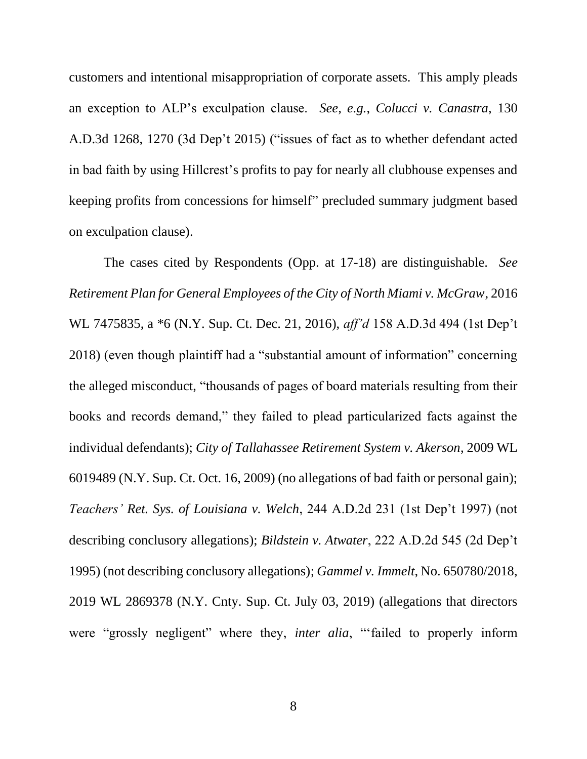<span id="page-12-2"></span>customers and intentional misappropriation of corporate assets. This amply pleads an exception to ALP's exculpation clause. *See, e.g.*, *Colucci v. Canastra*, 130 A.D.3d 1268, 1270 (3d Dep't 2015) ("issues of fact as to whether defendant acted in bad faith by using Hillcrest's profits to pay for nearly all clubhouse expenses and keeping profits from concessions for himself" precluded summary judgment based on exculpation clause).

<span id="page-12-5"></span><span id="page-12-4"></span><span id="page-12-3"></span><span id="page-12-1"></span><span id="page-12-0"></span>The cases cited by Respondents (Opp. at 17-18) are distinguishable. *See Retirement Plan for General Employees of the City of North Miami v. McGraw*, 2016 WL 7475835, a \*6 (N.Y. Sup. Ct. Dec. 21, 2016), *aff'd* 158 A.D.3d 494 (1st Dep't 2018) (even though plaintiff had a "substantial amount of information" concerning the alleged misconduct, "thousands of pages of board materials resulting from their books and records demand," they failed to plead particularized facts against the individual defendants); *City of Tallahassee Retirement System v. Akerson*, 2009 WL 6019489 (N.Y. Sup. Ct. Oct. 16, 2009) (no allegations of bad faith or personal gain); *Teachers' Ret. Sys. of Louisiana v. Welch*, 244 A.D.2d 231 (1st Dep't 1997) (not describing conclusory allegations); *Bildstein v. Atwater*, 222 A.D.2d 545 (2d Dep't 1995) (not describing conclusory allegations); *Gammel v. Immelt*, No. 650780/2018, 2019 WL 2869378 (N.Y. Cnty. Sup. Ct. July 03, 2019) (allegations that directors were "grossly negligent" where they, *inter alia*, "'failed to properly inform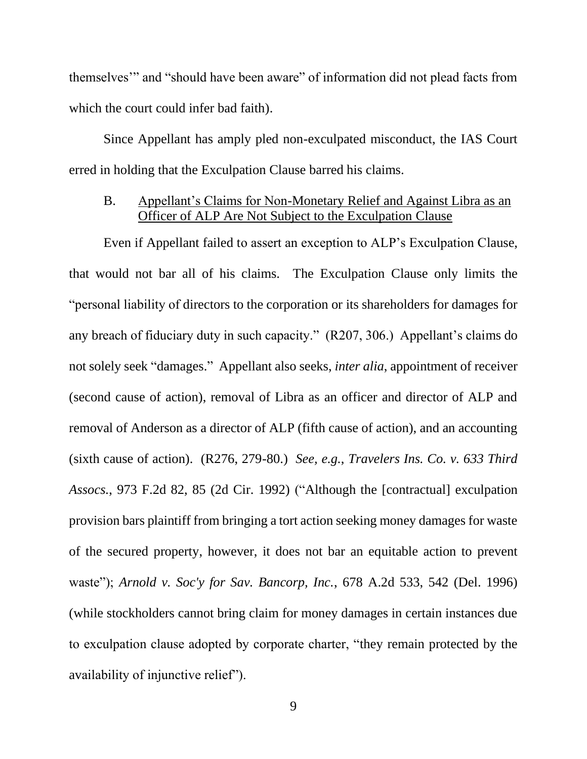<span id="page-13-0"></span>themselves'" and "should have been aware" of information did not plead facts from which the court could infer bad faith).

Since Appellant has amply pled non-exculpated misconduct, the IAS Court erred in holding that the Exculpation Clause barred his claims.

#### B. Appellant's Claims for Non-Monetary Relief and Against Libra as an Officer of ALP Are Not Subject to the Exculpation Clause

<span id="page-13-2"></span><span id="page-13-1"></span>Even if Appellant failed to assert an exception to ALP's Exculpation Clause, that would not bar all of his claims. The Exculpation Clause only limits the "personal liability of directors to the corporation or its shareholders for damages for any breach of fiduciary duty in such capacity." (R207, 306.) Appellant's claims do not solely seek "damages." Appellant also seeks, *inter alia*, appointment of receiver (second cause of action), removal of Libra as an officer and director of ALP and removal of Anderson as a director of ALP (fifth cause of action), and an accounting (sixth cause of action). (R276, 279-80.) *See, e.g.*, *Travelers Ins. Co. v. 633 Third Assocs.*, 973 F.2d 82, 85 (2d Cir. 1992) ("Although the [contractual] exculpation provision bars plaintiff from bringing a tort action seeking money damages for waste of the secured property, however, it does not bar an equitable action to prevent waste"); *Arnold v. Soc'y for Sav. Bancorp, Inc.*, 678 A.2d 533, 542 (Del. 1996) (while stockholders cannot bring claim for money damages in certain instances due to exculpation clause adopted by corporate charter, "they remain protected by the availability of injunctive relief").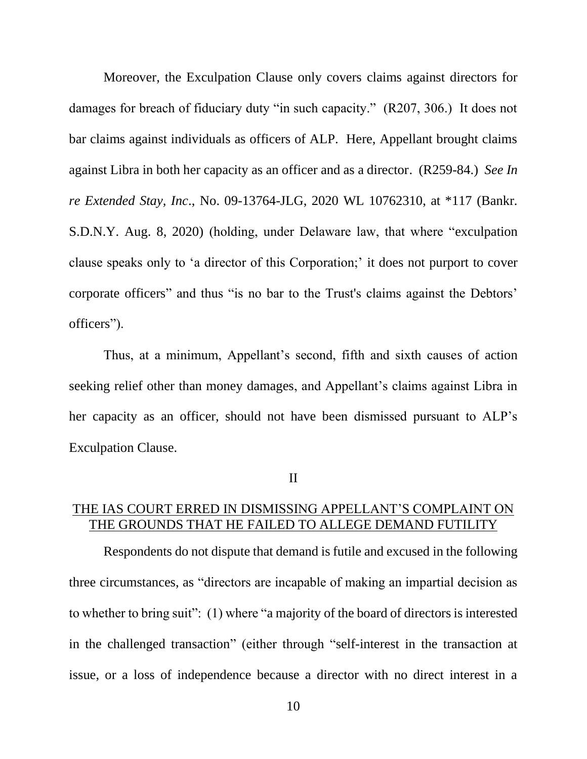<span id="page-14-0"></span>Moreover, the Exculpation Clause only covers claims against directors for damages for breach of fiduciary duty "in such capacity." (R207, 306.) It does not bar claims against individuals as officers of ALP. Here, Appellant brought claims against Libra in both her capacity as an officer and as a director. (R259-84.) *See In re Extended Stay, Inc*., No. 09-13764-JLG, 2020 WL 10762310, at \*117 (Bankr. S.D.N.Y. Aug. 8, 2020) (holding, under Delaware law, that where "exculpation clause speaks only to 'a director of this Corporation;' it does not purport to cover corporate officers" and thus "is no bar to the Trust's claims against the Debtors' officers").

Thus, at a minimum, Appellant's second, fifth and sixth causes of action seeking relief other than money damages, and Appellant's claims against Libra in her capacity as an officer, should not have been dismissed pursuant to ALP's Exculpation Clause.

<span id="page-14-1"></span>II

## THE IAS COURT ERRED IN DISMISSING APPELLANT'S COMPLAINT ON THE GROUNDS THAT HE FAILED TO ALLEGE DEMAND FUTILITY

Respondents do not dispute that demand is futile and excused in the following three circumstances, as "directors are incapable of making an impartial decision as to whether to bring suit": (1) where "a majority of the board of directors is interested in the challenged transaction" (either through "self-interest in the transaction at issue, or a loss of independence because a director with no direct interest in a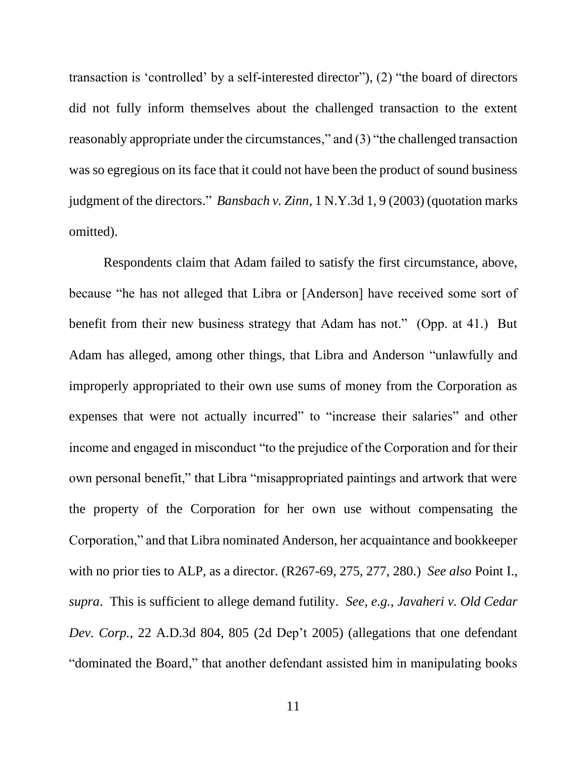transaction is 'controlled' by a self-interested director"), (2) "the board of directors did not fully inform themselves about the challenged transaction to the extent reasonably appropriate under the circumstances," and (3) "the challenged transaction was so egregious on its face that it could not have been the product of sound business judgment of the directors." *Bansbach v. Zinn*, 1 N.Y.3d 1, 9 (2003) (quotation marks omitted).

<span id="page-15-1"></span><span id="page-15-0"></span>Respondents claim that Adam failed to satisfy the first circumstance, above, because "he has not alleged that Libra or [Anderson] have received some sort of benefit from their new business strategy that Adam has not." (Opp. at 41.) But Adam has alleged, among other things, that Libra and Anderson "unlawfully and improperly appropriated to their own use sums of money from the Corporation as expenses that were not actually incurred" to "increase their salaries" and other income and engaged in misconduct "to the prejudice of the Corporation and for their own personal benefit," that Libra "misappropriated paintings and artwork that were the property of the Corporation for her own use without compensating the Corporation," and that Libra nominated Anderson, her acquaintance and bookkeeper with no prior ties to ALP, as a director. (R267-69, 275, 277, 280.) *See also* Point I., *supra*. This is sufficient to allege demand futility. *See, e.g.*, *Javaheri v. Old Cedar Dev. Corp.*, 22 A.D.3d 804, 805 (2d Dep't 2005) (allegations that one defendant "dominated the Board," that another defendant assisted him in manipulating books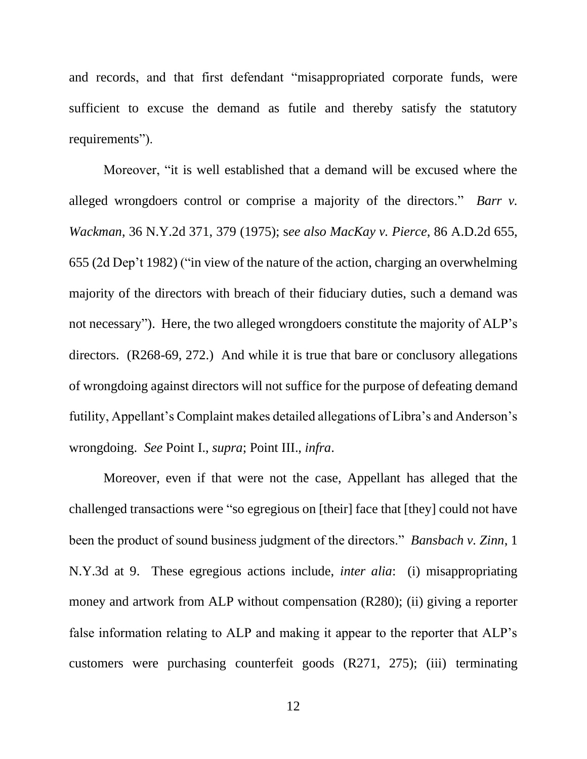and records, and that first defendant "misappropriated corporate funds, were sufficient to excuse the demand as futile and thereby satisfy the statutory requirements").

<span id="page-16-2"></span><span id="page-16-1"></span>Moreover, "it is well established that a demand will be excused where the alleged wrongdoers control or comprise a majority of the directors." *Barr v. Wackman*, 36 N.Y.2d 371, 379 (1975); s*ee also MacKay v. Pierce*, 86 A.D.2d 655, 655 (2d Dep't 1982) ("in view of the nature of the action, charging an overwhelming majority of the directors with breach of their fiduciary duties, such a demand was not necessary"). Here, the two alleged wrongdoers constitute the majority of ALP's directors. (R268-69, 272.) And while it is true that bare or conclusory allegations of wrongdoing against directors will not suffice for the purpose of defeating demand futility, Appellant's Complaint makes detailed allegations of Libra's and Anderson's wrongdoing. *See* Point I., *supra*; Point III., *infra*.

<span id="page-16-0"></span>Moreover, even if that were not the case, Appellant has alleged that the challenged transactions were "so egregious on [their] face that [they] could not have been the product of sound business judgment of the directors." *Bansbach v. Zinn*, 1 N.Y.3d at 9. These egregious actions include, *inter alia*: (i) misappropriating money and artwork from ALP without compensation (R280); (ii) giving a reporter false information relating to ALP and making it appear to the reporter that ALP's customers were purchasing counterfeit goods (R271, 275); (iii) terminating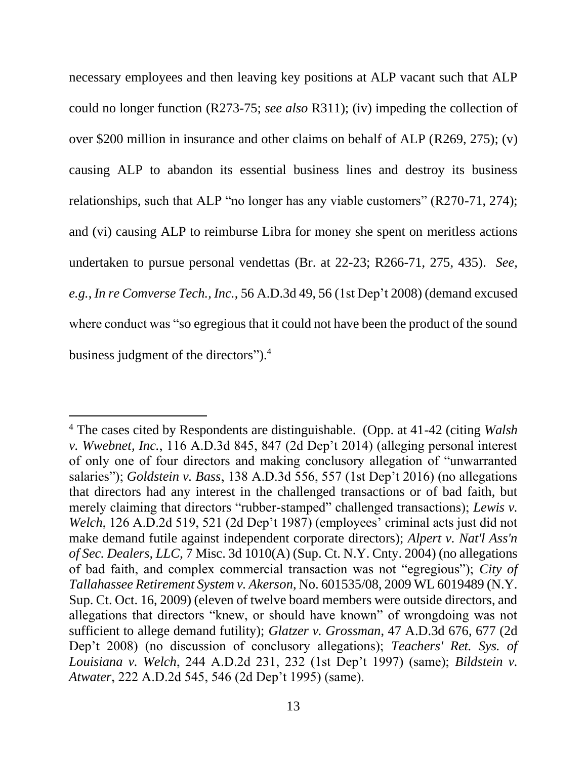necessary employees and then leaving key positions at ALP vacant such that ALP could no longer function (R273-75; *see also* R311); (iv) impeding the collection of over \$200 million in insurance and other claims on behalf of ALP (R269, 275); (v) causing ALP to abandon its essential business lines and destroy its business relationships, such that ALP "no longer has any viable customers" (R270-71, 274); and (vi) causing ALP to reimburse Libra for money she spent on meritless actions undertaken to pursue personal vendettas (Br. at 22-23; R266-71, 275, 435). *See, e.g.*, *In re Comverse Tech., Inc.*, 56 A.D.3d 49, 56 (1st Dep't 2008) (demand excused where conduct was "so egregious that it could not have been the product of the sound business judgment of the directors"). 4

<span id="page-17-8"></span><span id="page-17-7"></span><span id="page-17-6"></span><span id="page-17-5"></span><span id="page-17-4"></span><span id="page-17-3"></span><span id="page-17-2"></span><span id="page-17-1"></span><span id="page-17-0"></span><sup>4</sup> The cases cited by Respondents are distinguishable. (Opp. at 41-42 (citing *Walsh v. Wwebnet, Inc.*, 116 A.D.3d 845, 847 (2d Dep't 2014) (alleging personal interest of only one of four directors and making conclusory allegation of "unwarranted salaries"); *Goldstein v. Bass*, 138 A.D.3d 556, 557 (1st Dep't 2016) (no allegations that directors had any interest in the challenged transactions or of bad faith, but merely claiming that directors "rubber-stamped" challenged transactions); *Lewis v. Welch*, 126 A.D.2d 519, 521 (2d Dep't 1987) (employees' criminal acts just did not make demand futile against independent corporate directors); *Alpert v. Nat'l Ass'n of Sec. Dealers, LLC*, 7 Misc. 3d 1010(A) (Sup. Ct. N.Y. Cnty. 2004) (no allegations of bad faith, and complex commercial transaction was not "egregious"); *City of Tallahassee Retirement System v. Akerson*, No. 601535/08, 2009 WL 6019489 (N.Y. Sup. Ct. Oct. 16, 2009) (eleven of twelve board members were outside directors, and allegations that directors "knew, or should have known" of wrongdoing was not sufficient to allege demand futility); *Glatzer v. Grossman*, 47 A.D.3d 676, 677 (2d Dep't 2008) (no discussion of conclusory allegations); *Teachers' Ret. Sys. of Louisiana v. Welch*, 244 A.D.2d 231, 232 (1st Dep't 1997) (same); *Bildstein v. Atwater*, 222 A.D.2d 545, 546 (2d Dep't 1995) (same).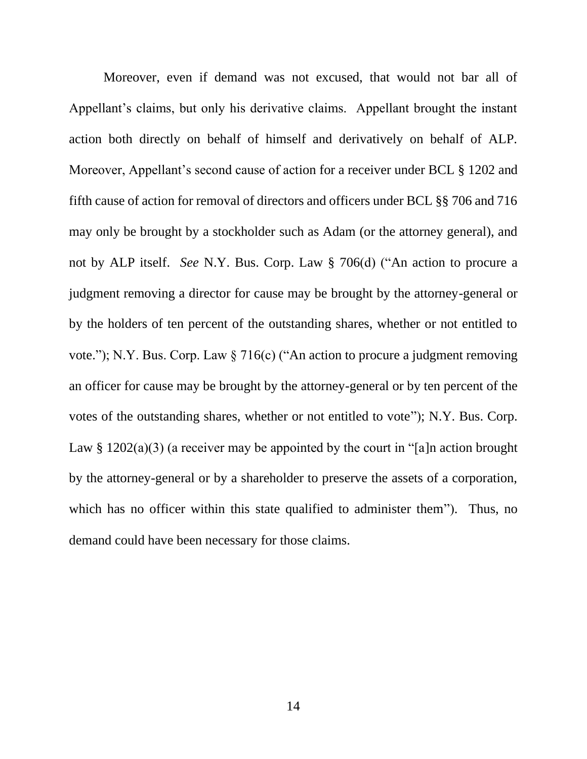<span id="page-18-2"></span><span id="page-18-1"></span><span id="page-18-0"></span>Moreover, even if demand was not excused, that would not bar all of Appellant's claims, but only his derivative claims. Appellant brought the instant action both directly on behalf of himself and derivatively on behalf of ALP. Moreover, Appellant's second cause of action for a receiver under BCL § 1202 and fifth cause of action for removal of directors and officers under BCL §§ 706 and 716 may only be brought by a stockholder such as Adam (or the attorney general), and not by ALP itself. *See* N.Y. Bus. Corp. Law § 706(d) ("An action to procure a judgment removing a director for cause may be brought by the attorney-general or by the holders of ten percent of the outstanding shares, whether or not entitled to vote."); N.Y. Bus. Corp. Law § 716(c) ("An action to procure a judgment removing an officer for cause may be brought by the attorney-general or by ten percent of the votes of the outstanding shares, whether or not entitled to vote"); N.Y. Bus. Corp. Law §  $1202(a)(3)$  (a receiver may be appointed by the court in "[a]n action brought by the attorney-general or by a shareholder to preserve the assets of a corporation, which has no officer within this state qualified to administer them"). Thus, no demand could have been necessary for those claims.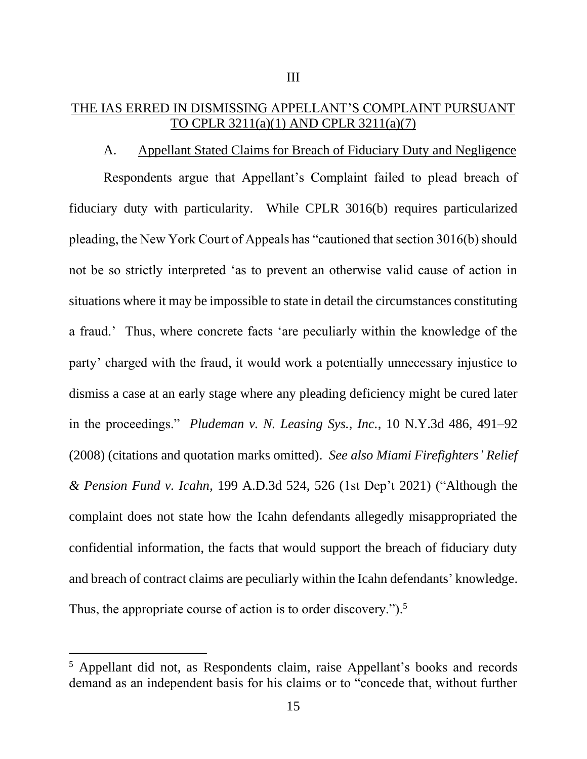## <span id="page-19-0"></span>THE IAS ERRED IN DISMISSING APPELLANT'S COMPLAINT PURSUANT TO CPLR 3211(a)(1) AND CPLR 3211(a)(7)

<span id="page-19-4"></span><span id="page-19-3"></span>III

#### A. Appellant Stated Claims for Breach of Fiduciary Duty and Negligence

Respondents argue that Appellant's Complaint failed to plead breach of fiduciary duty with particularity. While CPLR 3016(b) requires particularized pleading, the New York Court of Appeals has "cautioned that section 3016(b) should not be so strictly interpreted 'as to prevent an otherwise valid cause of action in situations where it may be impossible to state in detail the circumstances constituting a fraud.' Thus, where concrete facts 'are peculiarly within the knowledge of the party' charged with the fraud, it would work a potentially unnecessary injustice to dismiss a case at an early stage where any pleading deficiency might be cured later in the proceedings." *Pludeman v. N. Leasing Sys., Inc.*, 10 N.Y.3d 486, 491–92 (2008) (citations and quotation marks omitted). *See also Miami Firefighters' Relief & Pension Fund v. Icahn*, 199 A.D.3d 524, 526 (1st Dep't 2021) ("Although the complaint does not state how the Icahn defendants allegedly misappropriated the confidential information, the facts that would support the breach of fiduciary duty and breach of contract claims are peculiarly within the Icahn defendants' knowledge. Thus, the appropriate course of action is to order discovery.").<sup>5</sup>

<span id="page-19-2"></span><span id="page-19-1"></span><sup>5</sup> Appellant did not, as Respondents claim, raise Appellant's books and records demand as an independent basis for his claims or to "concede that, without further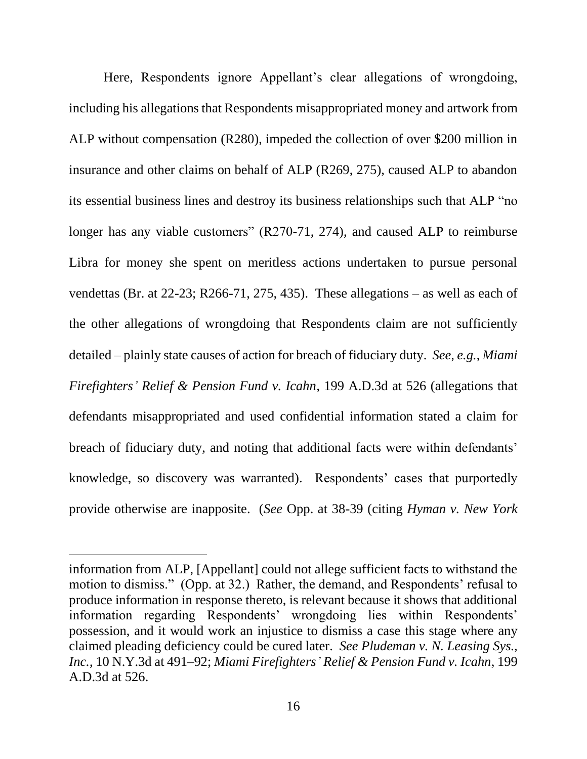Here, Respondents ignore Appellant's clear allegations of wrongdoing, including his allegations that Respondents misappropriated money and artwork from ALP without compensation (R280), impeded the collection of over \$200 million in insurance and other claims on behalf of ALP (R269, 275), caused ALP to abandon its essential business lines and destroy its business relationships such that ALP "no longer has any viable customers" (R270-71, 274), and caused ALP to reimburse Libra for money she spent on meritless actions undertaken to pursue personal vendettas (Br. at 22-23; R266-71, 275, 435). These allegations – as well as each of the other allegations of wrongdoing that Respondents claim are not sufficiently detailed – plainly state causes of action for breach of fiduciary duty. *See, e.g.*, *Miami Firefighters' Relief & Pension Fund v. Icahn*, 199 A.D.3d at 526 (allegations that defendants misappropriated and used confidential information stated a claim for breach of fiduciary duty, and noting that additional facts were within defendants' knowledge, so discovery was warranted). Respondents' cases that purportedly provide otherwise are inapposite. (*See* Opp. at 38-39 (citing *Hyman v. New York* 

<span id="page-20-1"></span><span id="page-20-0"></span>information from ALP, [Appellant] could not allege sufficient facts to withstand the motion to dismiss." (Opp. at 32.) Rather, the demand, and Respondents' refusal to produce information in response thereto, is relevant because it shows that additional information regarding Respondents' wrongdoing lies within Respondents' possession, and it would work an injustice to dismiss a case this stage where any claimed pleading deficiency could be cured later. *See Pludeman v. N. Leasing Sys., Inc.*, 10 N.Y.3d at 491–92; *Miami Firefighters' Relief & Pension Fund v. Icahn*, 199 A.D.3d at 526.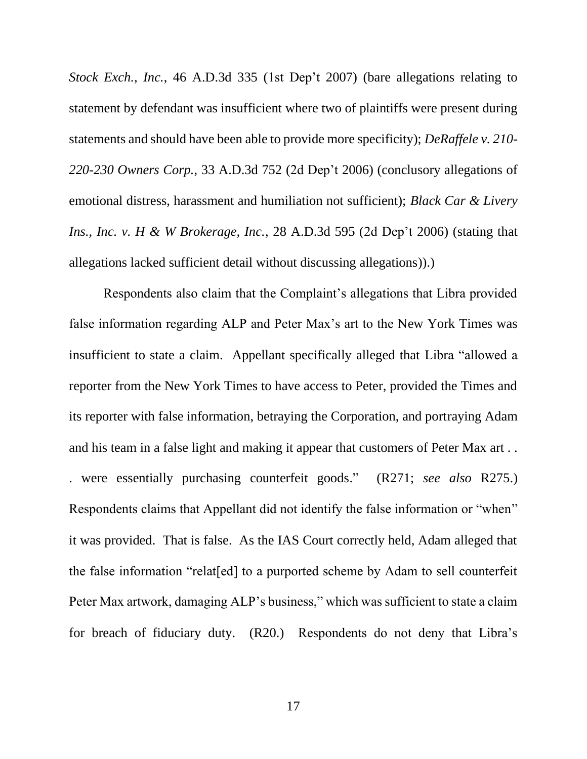<span id="page-21-1"></span>*Stock Exch., Inc.*, 46 A.D.3d 335 (1st Dep't 2007) (bare allegations relating to statement by defendant was insufficient where two of plaintiffs were present during statements and should have been able to provide more specificity); *DeRaffele v. 210- 220-230 Owners Corp.*, 33 A.D.3d 752 (2d Dep't 2006) (conclusory allegations of emotional distress, harassment and humiliation not sufficient); *Black Car & Livery Ins., Inc. v. H & W Brokerage, Inc.*, 28 A.D.3d 595 (2d Dep't 2006) (stating that allegations lacked sufficient detail without discussing allegations)).)

<span id="page-21-0"></span>Respondents also claim that the Complaint's allegations that Libra provided false information regarding ALP and Peter Max's art to the New York Times was insufficient to state a claim. Appellant specifically alleged that Libra "allowed a reporter from the New York Times to have access to Peter, provided the Times and its reporter with false information, betraying the Corporation, and portraying Adam and his team in a false light and making it appear that customers of Peter Max art . . . were essentially purchasing counterfeit goods." (R271; *see also* R275.) Respondents claims that Appellant did not identify the false information or "when" it was provided. That is false. As the IAS Court correctly held, Adam alleged that the false information "relat[ed] to a purported scheme by Adam to sell counterfeit Peter Max artwork, damaging ALP's business," which was sufficient to state a claim for breach of fiduciary duty. (R20.) Respondents do not deny that Libra's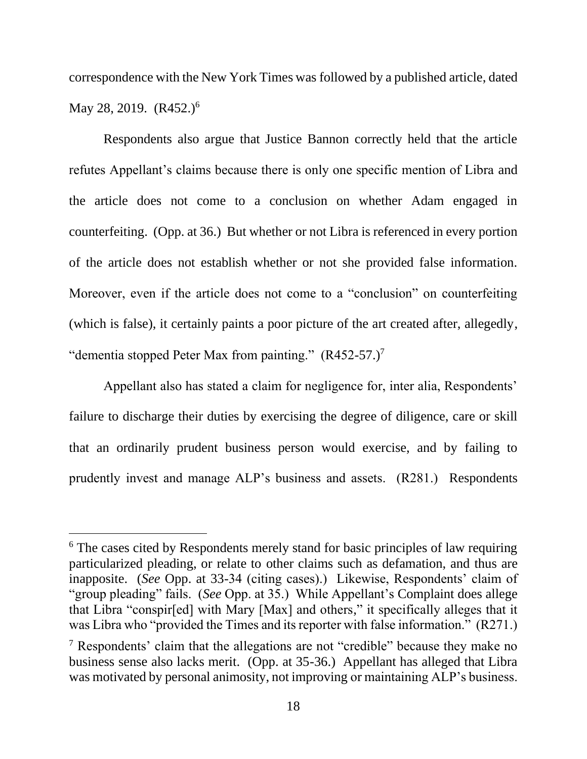correspondence with the New York Times was followed by a published article, dated May 28, 2019.  $(R452.)^6$ 

Respondents also argue that Justice Bannon correctly held that the article refutes Appellant's claims because there is only one specific mention of Libra and the article does not come to a conclusion on whether Adam engaged in counterfeiting. (Opp. at 36.) But whether or not Libra is referenced in every portion of the article does not establish whether or not she provided false information. Moreover, even if the article does not come to a "conclusion" on counterfeiting (which is false), it certainly paints a poor picture of the art created after, allegedly, "dementia stopped Peter Max from painting."  $(R452-57.)^7$ 

Appellant also has stated a claim for negligence for, inter alia, Respondents' failure to discharge their duties by exercising the degree of diligence, care or skill that an ordinarily prudent business person would exercise, and by failing to prudently invest and manage ALP's business and assets. (R281.) Respondents

<sup>&</sup>lt;sup>6</sup> The cases cited by Respondents merely stand for basic principles of law requiring particularized pleading, or relate to other claims such as defamation, and thus are inapposite. (*See* Opp. at 33-34 (citing cases).) Likewise, Respondents' claim of "group pleading" fails. (*See* Opp. at 35.) While Appellant's Complaint does allege that Libra "conspir[ed] with Mary [Max] and others," it specifically alleges that it was Libra who "provided the Times and its reporter with false information." (R271.)

<sup>&</sup>lt;sup>7</sup> Respondents' claim that the allegations are not "credible" because they make no business sense also lacks merit. (Opp. at 35-36.) Appellant has alleged that Libra was motivated by personal animosity, not improving or maintaining ALP's business.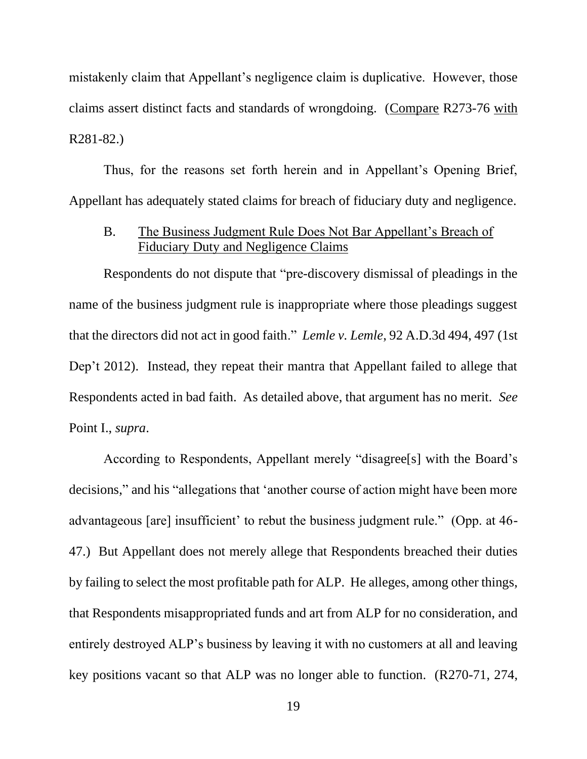<span id="page-23-0"></span>mistakenly claim that Appellant's negligence claim is duplicative. However, those claims assert distinct facts and standards of wrongdoing. (Compare R273-76 with R281-82.)

Thus, for the reasons set forth herein and in Appellant's Opening Brief, Appellant has adequately stated claims for breach of fiduciary duty and negligence.

#### <span id="page-23-1"></span>B. The Business Judgment Rule Does Not Bar Appellant's Breach of Fiduciary Duty and Negligence Claims

Respondents do not dispute that "pre-discovery dismissal of pleadings in the name of the business judgment rule is inappropriate where those pleadings suggest that the directors did not act in good faith." *Lemle v. Lemle*, 92 A.D.3d 494, 497 (1st Dep't 2012). Instead, they repeat their mantra that Appellant failed to allege that Respondents acted in bad faith. As detailed above, that argument has no merit. *See*  Point I., *supra*.

According to Respondents, Appellant merely "disagree[s] with the Board's decisions," and his "allegations that 'another course of action might have been more advantageous [are] insufficient' to rebut the business judgment rule." (Opp. at 46- 47.) But Appellant does not merely allege that Respondents breached their duties by failing to select the most profitable path for ALP. He alleges, among other things, that Respondents misappropriated funds and art from ALP for no consideration, and entirely destroyed ALP's business by leaving it with no customers at all and leaving key positions vacant so that ALP was no longer able to function. (R270-71, 274,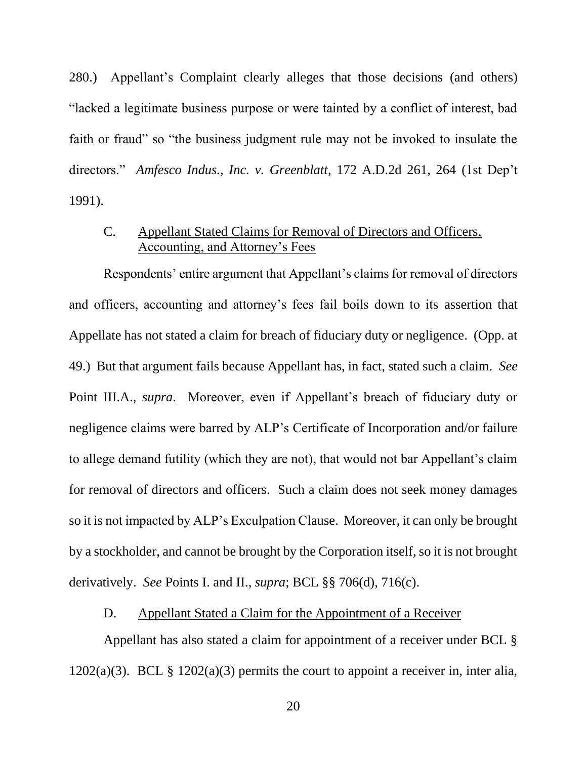<span id="page-24-0"></span>280.) Appellant's Complaint clearly alleges that those decisions (and others) "lacked a legitimate business purpose or were tainted by a conflict of interest, bad faith or fraud" so "the business judgment rule may not be invoked to insulate the directors." *Amfesco Indus., Inc. v. Greenblatt*, 172 A.D.2d 261, 264 (1st Dep't 1991).

## <span id="page-24-1"></span>C. Appellant Stated Claims for Removal of Directors and Officers, Accounting, and Attorney's Fees

Respondents' entire argument that Appellant's claims for removal of directors and officers, accounting and attorney's fees fail boils down to its assertion that Appellate has not stated a claim for breach of fiduciary duty or negligence. (Opp. at 49.) But that argument fails because Appellant has, in fact, stated such a claim. *See*  Point III.A., *supra*. Moreover, even if Appellant's breach of fiduciary duty or negligence claims were barred by ALP's Certificate of Incorporation and/or failure to allege demand futility (which they are not), that would not bar Appellant's claim for removal of directors and officers. Such a claim does not seek money damages so it is not impacted by ALP's Exculpation Clause. Moreover, it can only be brought by a stockholder, and cannot be brought by the Corporation itself, so it is not brought derivatively. *See* Points I. and II., *supra*; BCL §§ 706(d), 716(c).

## <span id="page-24-2"></span>D. Appellant Stated a Claim for the Appointment of a Receiver

Appellant has also stated a claim for appointment of a receiver under BCL §  $1202(a)(3)$ . BCL §  $1202(a)(3)$  permits the court to appoint a receiver in, inter alia,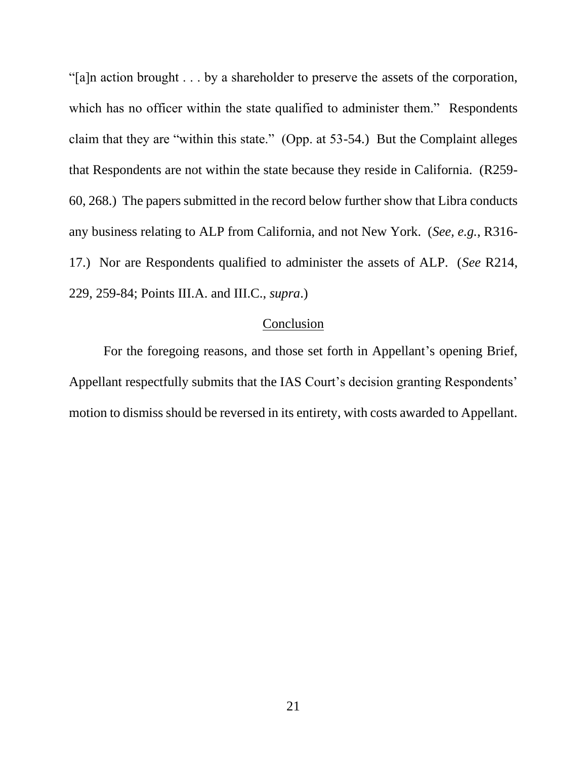<span id="page-25-0"></span>"[a]n action brought . . . by a shareholder to preserve the assets of the corporation, which has no officer within the state qualified to administer them." Respondents claim that they are "within this state." (Opp. at 53-54.) But the Complaint alleges that Respondents are not within the state because they reside in California. (R259- 60, 268.) The papers submitted in the record below further show that Libra conducts any business relating to ALP from California, and not New York. (*See, e.g.*, R316- 17.) Nor are Respondents qualified to administer the assets of ALP. (*See* R214, 229, 259-84; Points III.A. and III.C., *supra*.)

#### Conclusion

For the foregoing reasons, and those set forth in Appellant's opening Brief, Appellant respectfully submits that the IAS Court's decision granting Respondents' motion to dismiss should be reversed in its entirety, with costs awarded to Appellant.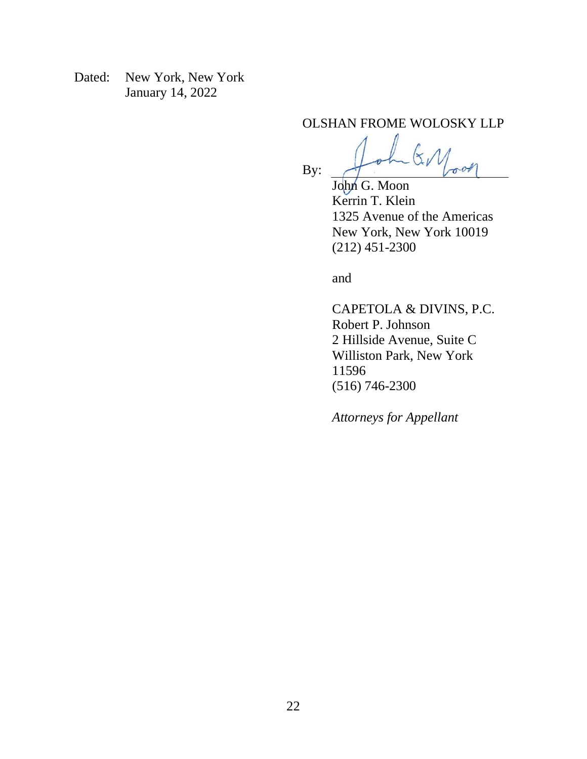Dated: New York, New York January 14, 2022

OLSHAN FROME WOLOSKY LLP

 $\sigma$ on

John G. Moon Kerrin T. Klein 1325 Avenue of the Americas New York, New York 10019 (212) 451-2300

and

By:

CAPETOLA & DIVINS, P.C. Robert P. Johnson 2 Hillside Avenue, Suite C Williston Park, New York 11596 (516) 746-2300

*Attorneys for Appellant*